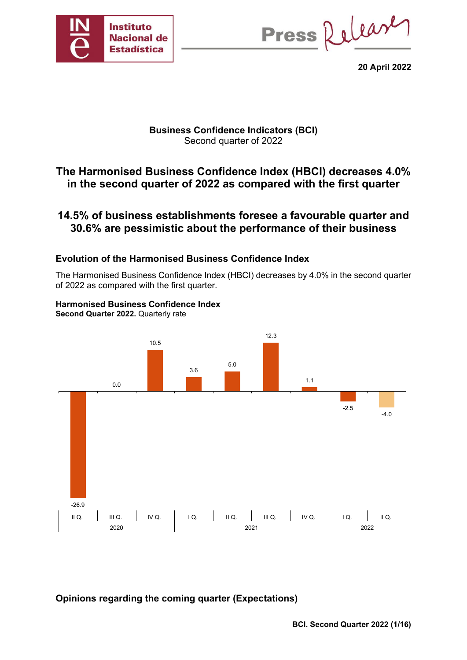

Press Release

**20 April 2022**

## **Business Confidence Indicators (BCI)**  Second quarter of 2022

# **The Harmonised Business Confidence Index (HBCI) decreases 4.0% in the second quarter of 2022 as compared with the first quarter**

# **14.5% of business establishments foresee a favourable quarter and 30.6% are pessimistic about the performance of their business**

## **Evolution of the Harmonised Business Confidence Index**

The Harmonised Business Confidence Index (HBCI) decreases by 4.0% in the second quarter of 2022 as compared with the first quarter.

#### **Harmonised Business Confidence Index Second Quarter 2022.** Quarterly rate



**Opinions regarding the coming quarter (Expectations)**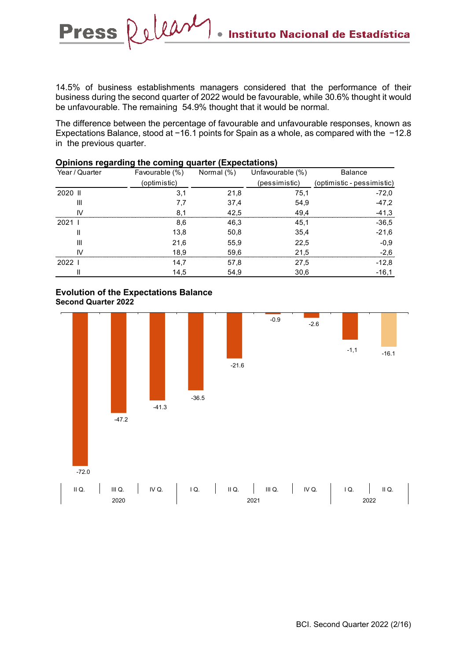14.5% of business establishments managers considered that the performance of their business during the second quarter of 2022 would be favourable, while 30.6% thought it would be unfavourable. The remaining 54.9% thought that it would be normal.

 $\bullet$ 

The difference between the percentage of favourable and unfavourable responses, known as Expectations Balance, stood at −16.1 points for Spain as a whole, as compared with the −12.8 in the previous quarter.

| Year / Quarter | Favourable (%) | Normal (%) | Unfavourable (%) | <b>Balance</b>             |
|----------------|----------------|------------|------------------|----------------------------|
|                | (optimistic)   |            | (pessimistic)    | (optimistic - pessimistic) |
| 2020 II        | 3,1            | 21,8       | 75,1             | $-72.0$                    |
| Ш              |                | 37,4       | 54,9             | $-47.2$                    |
| $\mathsf{N}$   |                | 42.5       | 49.4             | $-41,3$                    |
| 20211          | 8,6            | 46,3       | 45,1             | $-36,5$                    |
|                | 13,8           | 50,8       | 35,4             | $-21,6$                    |
| $\mathsf{III}$ | 21,6           | 55,9       | 22,5             | $-0.9$                     |
| $\mathbf{N}$   | 18.9           | 59,6       | 21.5             | $-2.6$                     |
| 20221          | 14.7           | 57,8       | 27,5             | $-12.8$                    |
|                | 14,5           | 54,9       | 30,6             | $-16,1$                    |

### **Opinions regarding the coming quarter (Expectations)**

### **Evolution of the Expectations Balance Second Quarter 2022**

Press Release

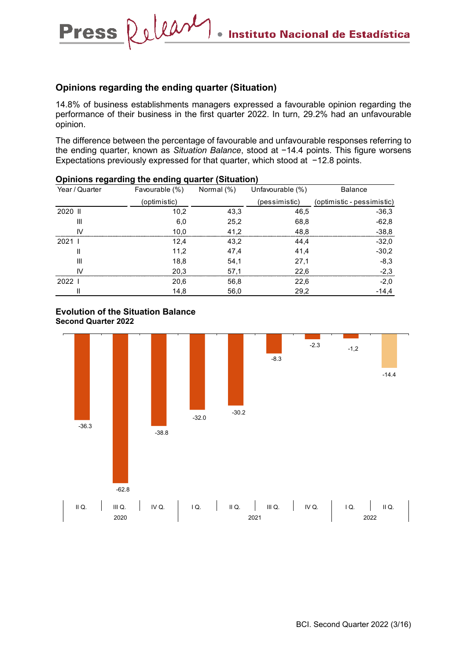### **Opinions regarding the ending quarter (Situation)**

Release

**Press** 

14.8% of business establishments managers expressed a favourable opinion regarding the performance of their business in the first quarter 2022. In turn, 29.2% had an unfavourable opinion.

 $\bullet$ 

The difference between the percentage of favourable and unfavourable responses referring to the ending quarter, known as *Situation Balance*, stood at −14.4 points. This figure worsens Expectations previously expressed for that quarter, which stood at −12.8 points.

| ັ<br>Year / Quarter | ີ<br>- -<br>Favourable (%) | Normal (%) | Unfavourable (%) | <b>Balance</b>             |
|---------------------|----------------------------|------------|------------------|----------------------------|
|                     | (optimistic)               |            | (pessimistic)    | (optimistic - pessimistic) |
| 2020 II             | 10,2                       | 43,3       | 46,5             | $-36.3$                    |
| Ш                   | 6,0                        | 25,2       | 68,8             | $-62,8$                    |
| IV                  | 10,0                       | 41.2       | 48,8             | $-38,8$                    |
| 20211               | 12.4                       | 43,2       | 44,4             | $-32.0$                    |
| $\mathsf{I}$        | 11,2                       | 47,4       | 41,4             | $-30,2$                    |
| III                 | 18,8                       | 54,1       | 27,1             | $-8,3$                     |
| IV                  | 20,3                       | 57,1       | 22,6             | $-2,3$                     |
| 20221               | 20,6                       | 56,8       | 22,6             | $-2,0$                     |
|                     | 14,8                       | 56,0       | 29,2             | $-14,4$                    |

### **Opinions regarding the ending quarter (Situation)**



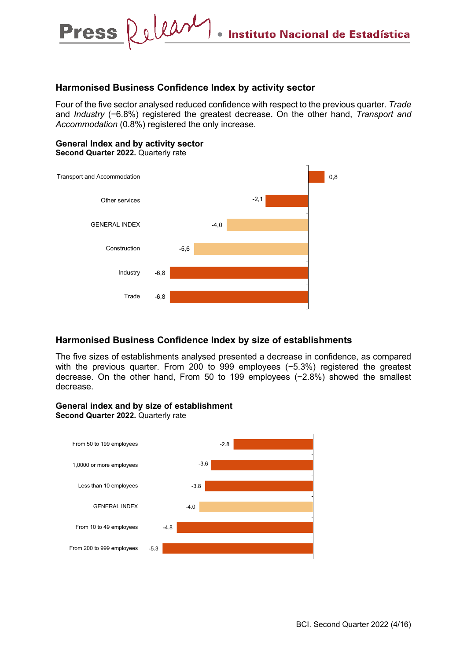### **Harmonised Business Confidence Index by activity sector**

Four of the five sector analysed reduced confidence with respect to the previous quarter. *Trade* and *Industry* (−6.8%) registered the greatest decrease. On the other hand, *Transport and Accommodation* (0.8%) registered the only increase.

### **General Index and by activity sector Second Quarter 2022.** Quarterly rate

**Press** 



## **Harmonised Business Confidence Index by size of establishments**

The five sizes of establishments analysed presented a decrease in confidence, as compared with the previous quarter. From 200 to 999 employees (-5.3%) registered the greatest decrease. On the other hand, From 50 to 199 employees (−2.8%) showed the smallest decrease.

### **General index and by size of establishment**

**Second Quarter 2022.** Quarterly rate

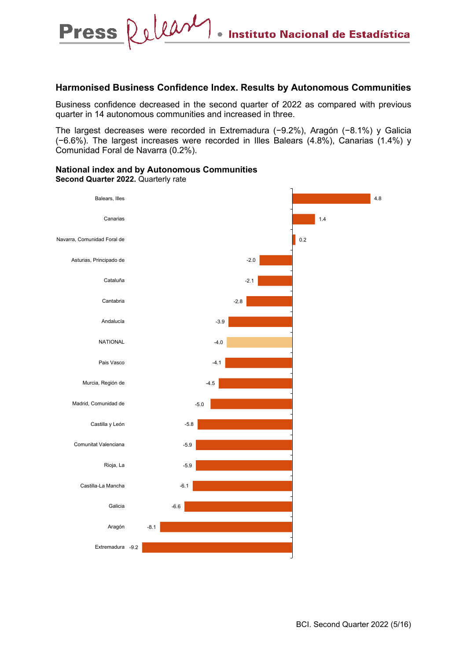### **Harmonised Business Confidence Index. Results by Autonomous Communities**

Business confidence decreased in the second quarter of 2022 as compared with previous quarter in 14 autonomous communities and increased in three.

The largest decreases were recorded in Extremadura (−9.2%), Aragón (−8.1%) y Galicia (−6.6%). The largest increases were recorded in Illes Balears (4.8%), Canarias (1.4%) y Comunidad Foral de Navarra (0.2%).

#### **National index and by Autonomous Communities Second Quarter 2022.** Quarterly rate

Release

**Press** 

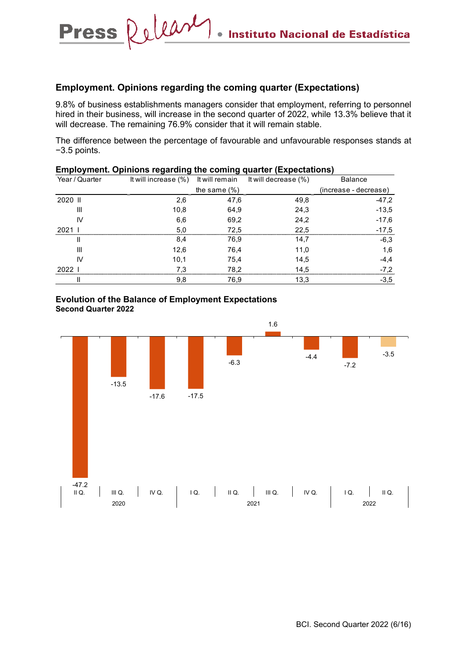### **Employment. Opinions regarding the coming quarter (Expectations)**

 $\bullet$ 

Release

**Press** 

9.8% of business establishments managers consider that employment, referring to personnel hired in their business, will increase in the second quarter of 2022, while 13.3% believe that it will decrease. The remaining 76.9% consider that it will remain stable.

The difference between the percentage of favourable and unfavourable responses stands at −3.5 points.

|                | Emprovingin. Opinions regarding the coming quarter (Expectations) |                 |                                                                |                       |  |  |  |  |
|----------------|-------------------------------------------------------------------|-----------------|----------------------------------------------------------------|-----------------------|--|--|--|--|
| Year / Quarter |                                                                   |                 | It will increase $(\%)$ It will remain It will decrease $(\%)$ | <b>Balance</b>        |  |  |  |  |
|                |                                                                   | the same $(\%)$ |                                                                | (increase - decrease) |  |  |  |  |
| 2020 II        | 2,6                                                               | 47,6            | 49,8                                                           | $-47.2$               |  |  |  |  |
| Ш              | 10,8                                                              | 64,9            | 24,3                                                           | $-13.5$               |  |  |  |  |
| IV             | 6,6                                                               | 69,2            | 24,2                                                           | $-17.6$               |  |  |  |  |
| 2021           | 5,0                                                               | 72,5            | 22,5                                                           | $-17.5$               |  |  |  |  |
| Ш              | 8,4                                                               | 76,9            | 14,7                                                           | $-6,3$                |  |  |  |  |
| III            | 12,6                                                              | 76,4            | 11.0                                                           | 1,6                   |  |  |  |  |
| IV             | 10,1                                                              | 75,4            | 14.5                                                           | $-4,4$                |  |  |  |  |
| 20221          | 7.3                                                               | 78,2            | 14,5                                                           | $-7.2$                |  |  |  |  |
|                | 9,8                                                               | 76,9            | 13,3                                                           | $-3,5$                |  |  |  |  |

# **Employment. Opinions regarding the coming quarter (Expectations)**

#### **Evolution of the Balance of Employment Expectations Second Quarter 2022**

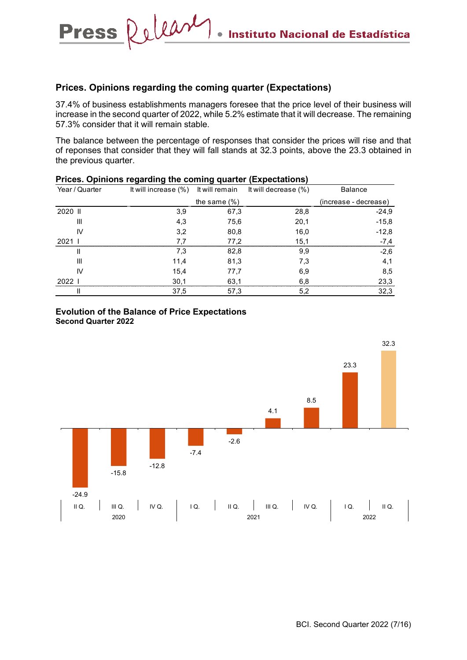### **Prices. Opinions regarding the coming quarter (Expectations)**

Press Release

37.4% of business establishments managers foresee that the price level of their business will increase in the second quarter of 2022, while 5.2% estimate that it will decrease. The remaining 57.3% consider that it will remain stable.

 $\bullet$ 

The balance between the percentage of responses that consider the prices will rise and that of reponses that consider that they will fall stands at 32.3 points, above the 23.3 obtained in the previous quarter.

| Year / Quarter | It will increase (%) It will remain |                 | It will decrease (%) | <b>Balance</b>        |
|----------------|-------------------------------------|-----------------|----------------------|-----------------------|
|                |                                     | the same $(\%)$ |                      | (increase - decrease) |
| 2020 II        | 3,9                                 | 67,3            | 28,8                 | $-24.9$               |
| Ш              | 4,3                                 | 75,6            | 20,1                 | $-15,8$               |
| IV             | 3,2                                 | 80,8            | 16,0                 | $-12,8$               |
| 202            | 77                                  | 77.2            | 15.1                 | -7.4                  |
| Ш              | 7,3                                 | 82,8            | 9,9                  | $-2.6$                |
| Ш              | 11,4                                | 81,3            | 7.3                  | 4,1                   |
| IV             | 15,4                                | 77,7            | 6,9                  | 8,5                   |
| 2022           | 30.1                                | 63.1            | 6.8                  | 23,3                  |
|                | 37,5                                | 57,3            | 5,2                  | 32,3                  |

### **Prices. Opinions regarding the coming quarter (Expectations)**



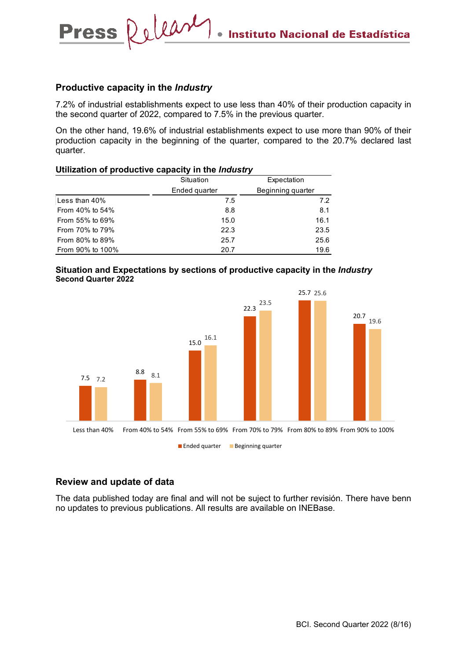### **Productive capacity in the** *Industry*

Press Release

7.2% of industrial establishments expect to use less than 40% of their production capacity in the second quarter of 2022, compared to 7.5% in the previous quarter.

On the other hand, 19.6% of industrial establishments expect to use more than 90% of their production capacity in the beginning of the quarter, compared to the 20.7% declared last quarter.

#### **Utilization of productive capacity in the** *Industry*

|                  | Situation     | Expectation       |
|------------------|---------------|-------------------|
|                  | Ended quarter | Beginning quarter |
| Less than 40%    | 7.5           | 7.2               |
| From 40% to 54%  | 8.8           | 8.1               |
| From 55% to 69%  | 15.0          | 16.1              |
| From 70% to 79%  | 22.3          | 23.5              |
| From 80% to 89%  | 25.7          | 25.6              |
| From 90% to 100% | 20.7          | 19.6              |

#### **Situation and Expectations by sections of productive capacity in the** *Industry* **Second Quarter 2022**



### **Review and update of data**

The data published today are final and will not be suject to further revisión. There have benn no updates to previous publications. All results are available on INEBase.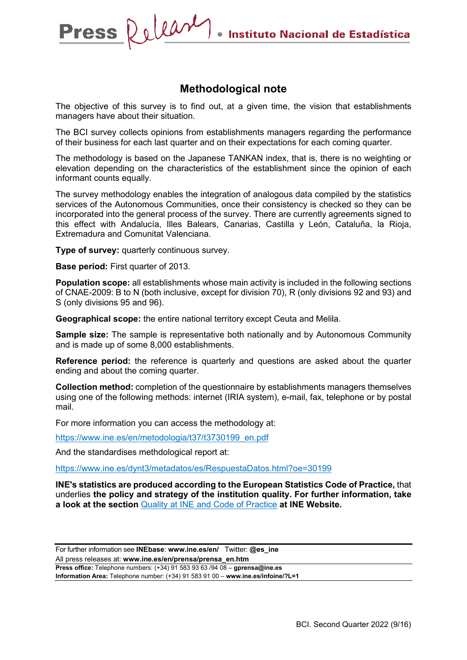## **Methodological note**

The objective of this survey is to find out, at a given time, the vision that establishments managers have about their situation.

The BCI survey collects opinions from establishments managers regarding the performance of their business for each last quarter and on their expectations for each coming quarter.

The methodology is based on the Japanese TANKAN index, that is, there is no weighting or elevation depending on the characteristics of the establishment since the opinion of each informant counts equally.

The survey methodology enables the integration of analogous data compiled by the statistics services of the Autonomous Communities, once their consistency is checked so they can be incorporated into the general process of the survey. There are currently agreements signed to this effect with Andalucía, Illes Balears, Canarias, Castilla y León, Cataluña, la Rioja, Extremadura and Comunitat Valenciana.

**Type of survey:** quarterly continuous survey.

**Base period:** First quarter of 2013.

**Population scope:** all establishments whose main activity is included in the following sections of CNAE-2009: B to N (both inclusive, except for division 70), R (only divisions 92 and 93) and S (only divisions 95 and 96).

**Geographical scope:** the entire national territory except Ceuta and Melila.

**Sample size:** The sample is representative both nationally and by Autonomous Community and is made up of some 8,000 establishments.

**Reference period:** the reference is quarterly and questions are asked about the quarter ending and about the coming quarter.

**Collection method:** completion of the questionnaire by establishments managers themselves using one of the following methods: internet (IRIA system), e-mail, fax, telephone or by postal mail.

For more information you can access the methodology at:

[https://www.ine.es/en/metodologia/t37/t3730199\\_en.pdf](https://www.ine.es/metodologia/t37/t3730199.pdf)

And the standardises methdological report at:

<https://www.ine.es/dynt3/metadatos/es/RespuestaDatos.html?oe=30199>

**INE's statistics are produced according to the European Statistics Code of Practice,** that underlies **the policy and strategy of the institution quality. For further information, take a look at the section** Quality at INE [and Code of Practice](https://www.ine.es/ss/Satellite?L=es_ES&c=Page&cid=1259943453642&p=1259943453642&pagename=MetodologiaYEstandares%2FINELayout) **at INE Website.**

For further information see **INEbase**: **www.ine.es/en/** Twitter: **@es\_ine** All press releases at: **www.ine.es/en/prensa/prensa\_en.htm Press office:** Telephone numbers: (+34) 91 583 93 63 /94 08 – **gprensa@ine.es Information Area:** Telephone number: (+34) 91 583 91 00 – **www.ine.es/infoine/?L=1**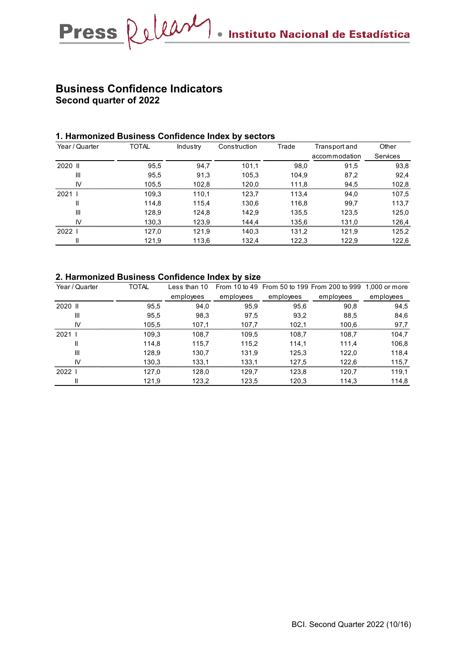## **Business Confidence Indicators Second quarter of 2022**

### **1. Harmonized Business Confidence Index by sectors**

| Year / Quarter | <b>TOTAL</b> | Industry | Construction | Trade | Transport and | Other           |
|----------------|--------------|----------|--------------|-------|---------------|-----------------|
|                |              |          |              |       | accommodation | <b>Services</b> |
| 2020 II        | 95,5         | 94,7     | 101.1        | 98,0  | 91.5          | 93,8            |
| $\mathbf{III}$ | 95,5         | 91,3     | 105,3        | 104,9 | 87,2          | 92,4            |
| IV             | 105.5        | 102.8    | 120,0        | 111,8 | 94.5          | 102,8           |
| 2021 l         | 109.3        | 110,1    | 123,7        | 113,4 | 94.0          | 107,5           |
| Ш              | 114.8        | 115.4    | 130,6        | 116,8 | 99.7          | 113,7           |
| Ш              | 128,9        | 124,8    | 142,9        | 135,5 | 123,5         | 125,0           |
| IV             | 130,3        | 123,9    | 144,4        | 135,6 | 131,0         | 126,4           |
| 2022 l         | 127,0        | 121,9    | 140,3        | 131,2 | 121,9         | 125,2           |
| Ш              | 121,9        | 113,6    | 132,4        | 122,3 | 122,9         | 122,6           |

### **2. Harmonized Business Confidence Index by size**

| Year / Quarter | TOTAL | Less than 10 |           |           | From 10 to 49 From 50 to 199 From 200 to 999 1,000 or more |           |
|----------------|-------|--------------|-----------|-----------|------------------------------------------------------------|-----------|
|                |       | employees    | employees | employees | employees                                                  | employees |
| 2020 II        | 95,5  | 94,0         | 95,9      | 95,6      | 90,8                                                       | 94,5      |
| Ш              | 95.5  | 98,3         | 97,5      | 93,2      | 88.5                                                       | 84,6      |
| IV             | 105,5 | 107,1        | 107,7     | 102,1     | 100,6                                                      | 97,7      |
| $2021$ I       | 109,3 | 108,7        | 109.5     | 108,7     | 108.7                                                      | 104,7     |
| $\mathbf{I}$   | 114.8 | 115.7        | 115.2     | 114.1     | 111.4                                                      | 106,8     |
| $\mathbf{III}$ | 128.9 | 130,7        | 131,9     | 125,3     | 122,0                                                      | 118,4     |
| IV             | 130,3 | 133.1        | 133.1     | 127,5     | 122.6                                                      | 115,7     |
| $2022$         | 127.0 | 128,0        | 129.7     | 123,8     | 120.7                                                      | 119,1     |
| $\mathbf{I}$   | 121.9 | 123,2        | 123,5     | 120,3     | 114.3                                                      | 114,8     |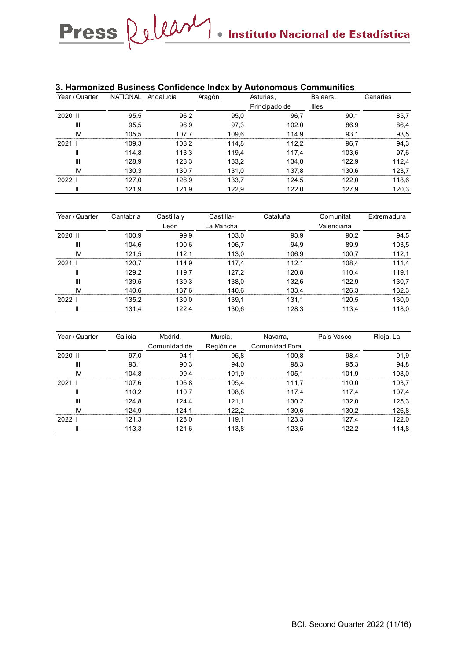### **3. Harmonized Business Confidence Index by Autonomous Communities**

| Year / Quarter | NATIONAL Andalucía |       | Aragón | Asturias,     | Balears,     | Canarias |
|----------------|--------------------|-------|--------|---------------|--------------|----------|
|                |                    |       |        | Principado de | <b>Illes</b> |          |
| 2020 II        | 95,5               | 96,2  | 95,0   | 96,7          | 90,1         | 85,7     |
| Ш              | 95,5               | 96,9  | 97,3   | 102,0         | 86,9         | 86,4     |
| IV             | 105.5              | 107.7 | 109.6  | 114.9         | 93.1         | 93,5     |
| 20211          | 109,3              | 108,2 | 114,8  | 112,2         | 96,7         | 94,3     |
| Ш              | 114.8              | 113,3 | 119,4  | 117.4         | 103,6        | 97,6     |
| Ш              | 128,9              | 128,3 | 133,2  | 134,8         | 122,9        | 112,4    |
| IV             | 130,3              | 130.7 | 131.0  | 137,8         | 130,6        | 123,7    |
| 2022 l         | 127,0              | 126,9 | 133,7  | 124,5         | 122,0        | 118,6    |
|                | 121,9              | 121,9 | 122,9  | 122,0         | 127,9        | 120,3    |

| Year / Quarter | Cantabria | Castilla y | Castilla- | Cataluña | Comunitat  | Extremadura |
|----------------|-----------|------------|-----------|----------|------------|-------------|
|                |           | León       | La Mancha |          | Valenciana |             |
| 2020 II        | 100.9     | 99,9       | 103,0     | 93,9     | 90,2       | 94,5        |
| Ш              | 104,6     | 100,6      | 106,7     | 94,9     | 89,9       | 103,5       |
| IV             | 121,5     | 112,1      | 113,0     | 106,9    | 100,7      | 112,1       |
| 20211          | 120,7     | 114,9      | 117,4     | 112,1    | 108.4      | 111,4       |
| Ш              | 129,2     | 119,7      | 127,2     | 120,8    | 110,4      | 119,1       |
| Ш              | 139.5     | 139,3      | 138,0     | 132,6    | 122,9      | 130,7       |
| IV             | 140,6     | 137,6      | 140,6     | 133,4    | 126,3      | 132,3       |
| 2022 l         | 135,2     | 130,0      | 139,1     | 131,1    | 120,5      | 130,0       |
|                | 131.4     | 122,4      | 130.6     | 128,3    | 113,4      | 118,0       |

| Year / Quarter | Galicia | Madrid,      | Murcia,   | Navarra,        | País Vasco | Rioja, La |
|----------------|---------|--------------|-----------|-----------------|------------|-----------|
|                |         | Comunidad de | Región de | Comunidad Foral |            |           |
| 2020 II        | 97,0    | 94,1         | 95,8      | 100,8           | 98,4       | 91,9      |
| Ш              | 93,1    | 90,3         | 94,0      | 98,3            | 95,3       | 94,8      |
| IV             | 104,8   | 99,4         | 101,9     | 105,1           | 101,9      | 103,0     |
| 20211          | 107,6   | 106,8        | 105,4     | 111.7           | 110.0      | 103,7     |
| $\mathsf{I}$   | 110,2   | 110,7        | 108,8     | 117,4           | 117.4      | 107,4     |
| $\mathbf{III}$ | 124,8   | 124,4        | 121,1     | 130,2           | 132,0      | 125,3     |
| IV             | 124.9   | 124,1        | 122,2     | 130.6           | 130,2      | 126,8     |
| 20221          | 121,3   | 128,0        | 119,1     | 123,3           | 127,4      | 122,0     |
| $\mathsf{I}$   | 113,3   | 121,6        | 113,8     | 123,5           | 122,2      | 114,8     |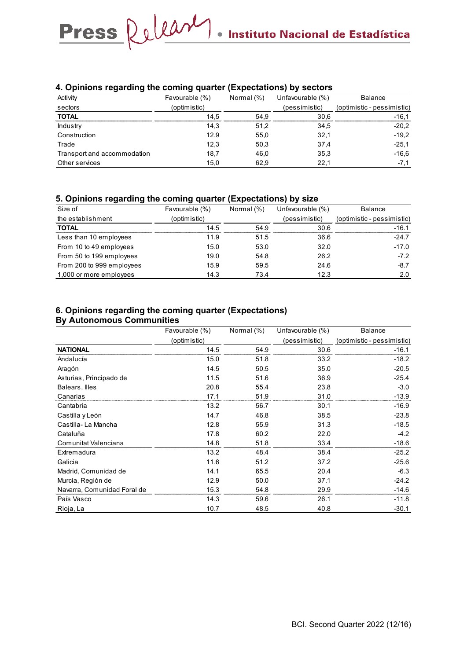### **4. Opinions regarding the coming quarter (Expectations) by sectors**

| Activity                    | Favourable (%) | Normal (%) | Unfavourable (%) | <b>Balance</b>             |
|-----------------------------|----------------|------------|------------------|----------------------------|
| sectors                     | (optimistic)   |            | (pessimistic)    | (optimistic - pessimistic) |
| <b>TOTAL</b>                | 14.5           | 54.9       | 30.6             | $-16.1$                    |
| Industry                    | 14,3           | 51,2       | 34,5             | $-20.2$                    |
| Construction                | 12.9           | 55,0       | 32,1             | $-19.2$                    |
| Trade                       | 12.3           | 50,3       | 37,4             | $-25.1$                    |
| Transport and accommodation | 18,7           | 46,0       | 35,3             | $-16,6$                    |
| Other services              | 15.0           | 62,9       | 22.1             | $-7.1$                     |

#### **5. Opinions regarding the coming quarter (Expectations) by size**

| Size of                   | Favourable (%) | Normal (%) | Unfavourable (%) | <b>Balance</b>             |
|---------------------------|----------------|------------|------------------|----------------------------|
| the establishment         | (optimistic)   |            | (pessimistic)    | (optimistic - pessimistic) |
| <b>TOTAL</b>              | 14.5           | 54.9       | 30.6             | $-16.1$                    |
| Less than 10 employees    | 11.9           | 51.5       | 36.6             | $-24.7$                    |
| From 10 to 49 employees   | 15.0           | 53.0       | 32.0             | $-17.0$                    |
| From 50 to 199 employees  | 19.0           | 54.8       | 26.2             | $-7.2$                     |
| From 200 to 999 employees | 15.9           | 59.5       | 24.6             | $-8.7$                     |
| 1,000 or more employees   | 14.3           | 73.4       | 12.3             | 2.0                        |

## **6. Opinions regarding the coming quarter (Expectations)**

### **By Autonomous Communities**

|                             | Favourable (%) | Normal (%) | Unfavourable (%) | <b>Balance</b>             |
|-----------------------------|----------------|------------|------------------|----------------------------|
|                             | (optimistic)   |            | (pessimistic)    | (optimistic - pessimistic) |
| <b>NATIONAL</b>             | 14.5           | 54.9       | 30.6             | $-16.1$                    |
| Andalucía                   | 15.0           | 51.8       | 33.2             | $-18.2$                    |
| Aragón                      | 14.5           | 50.5       | 35.0             | $-20.5$                    |
| Asturias, Principado de     | 11.5           | 51.6       | 36.9             | $-25.4$                    |
| Balears, Illes              | 20.8           | 55.4       | 23.8             | $-3.0$                     |
| Canarias                    | 17.1           | 51.9       | 31.0             | $-13.9$                    |
| Cantabria                   | 13.2           | 56.7       | 30.1             | $-16.9$                    |
| Castilla y León             | 14.7           | 46.8       | 38.5             | $-23.8$                    |
| Castilla-La Mancha          | 12.8           | 55.9       | 31.3             | $-18.5$                    |
| Cataluña                    | 17.8           | 60.2       | 22.0             | $-4.2$                     |
| Comunitat Valenciana        | 14.8           | 51.8       | 33.4             | $-18.6$                    |
| Extremadura                 | 13.2           | 48.4       | 38.4             | $-25.2$                    |
| Galicia                     | 11.6           | 51.2       | 37.2             | $-25.6$                    |
| Madrid, Comunidad de        | 14.1           | 65.5       | 20.4             | $-6.3$                     |
| Murcia, Región de           | 12.9           | 50.0       | 37.1             | $-24.2$                    |
| Navarra, Comunidad Foral de | 15.3           | 54.8       | 29.9             | $-14.6$                    |
| País Vasco                  | 14.3           | 59.6       | 26.1             | $-11.8$                    |
| Rioja, La                   | 10.7           | 48.5       | 40.8             | $-30.1$                    |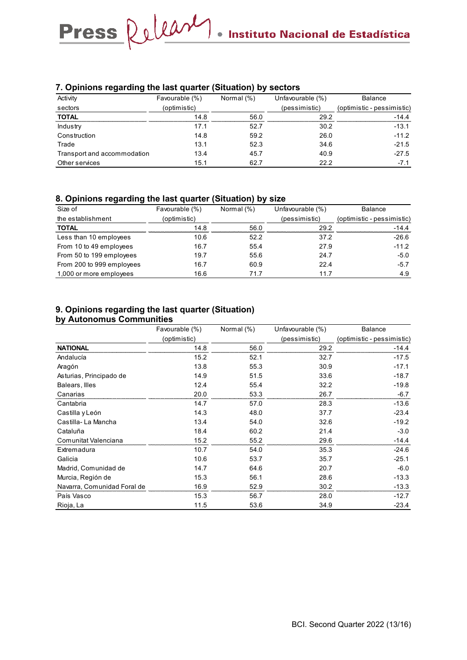### **7. Opinions regarding the last quarter (Situation) by sectors**

| Activity                    | Favourable (%) | Normal (%) | Unfavourable (%) | <b>Balance</b>             |
|-----------------------------|----------------|------------|------------------|----------------------------|
| sectors                     | (optimistic)   |            | (pessimistic)    | (optimistic - pessimistic) |
| <b>TOTAL</b>                | 14.8           | 56.0       | 292              | -14.4                      |
| Industry                    | 17.1           | 52.7       | 30.2             | $-13.1$                    |
| Construction                | 14.8           | 59.2       | 26.0             | $-11.2$                    |
| Trade                       | 13.1           | 52.3       | 34.6             | $-21.5$                    |
| Transport and accommodation | 13.4           | 45.7       | 40.9             | $-27.5$                    |
| Other services              | 15.1           | 62.7       | 22.2             | $-7.1$                     |

### **8. Opinions regarding the last quarter (Situation) by size**

| Size of                   | Favourable (%) | Normal (%) | Unfavourable (%) | <b>Balance</b>             |
|---------------------------|----------------|------------|------------------|----------------------------|
| the establishment         | (optimistic)   |            | (pessimistic)    | (optimistic - pessimistic) |
| <b>TOTAL</b>              | 14.8           | 56.0       | 29.2             | $-14.4$                    |
| Less than 10 employees    | 10.6           | 52.2       | 37.2             | $-26.6$                    |
| From 10 to 49 employees   | 16.7           | 55.4       | 27.9             | $-11.2$                    |
| From 50 to 199 employees  | 19.7           | 55.6       | 24.7             | $-5.0$                     |
| From 200 to 999 employees | 16.7           | 60.9       | 22.4             | $-5.7$                     |
| 1,000 or more employees   | 16.6           | 71.7       | 11.7             | 4.9                        |

## **9. Opinions regarding the last quarter (Situation)**

### **by Autonomus Communities**

|                             | Favourable (%) | Normal (%) | Unfavourable (%) | <b>Balance</b>             |
|-----------------------------|----------------|------------|------------------|----------------------------|
|                             | (optimistic)   |            | (pessimistic)    | (optimistic - pessimistic) |
| <b>NATIONAL</b>             | 14.8           | 56.0       | 29.2             | $-14.4$                    |
| Andalucía                   | 15.2           | 52.1       | 32.7             | $-17.5$                    |
| Aragón                      | 13.8           | 55.3       | 30.9             | $-17.1$                    |
| Asturias, Principado de     | 14.9           | 51.5       | 33.6             | $-18.7$                    |
| Balears, Illes              | 12.4           | 55.4       | 32.2             | $-19.8$                    |
| Canarias                    | 20.0           | 53.3       | 26.7             | $-6.7$                     |
| Cantabria                   | 14.7           | 57.0       | 28.3             | $-13.6$                    |
| Castilla y León             | 14.3           | 48.0       | 37.7             | $-23.4$                    |
| Castilla-La Mancha          | 13.4           | 54.0       | 32.6             | $-19.2$                    |
| Cataluña                    | 18.4           | 60.2       | 21.4             | $-3.0$                     |
| Comunitat Valenciana        | 15.2           | 55.2       | 29.6             | $-14.4$                    |
| Extremadura                 | 10.7           | 54.0       | 35.3             | $-24.6$                    |
| Galicia                     | 10.6           | 53.7       | 35.7             | $-25.1$                    |
| Madrid, Comunidad de        | 14.7           | 64.6       | 20.7             | $-6.0$                     |
| Murcia, Región de           | 15.3           | 56.1       | 28.6             | $-13.3$                    |
| Navarra, Comunidad Foral de | 16.9           | 52.9       | 30.2             | $-13.3$                    |
| País Vasco                  | 15.3           | 56.7       | 28.0             | $-12.7$                    |
| Rioja, La                   | 11.5           | 53.6       | 34.9             | $-23.4$                    |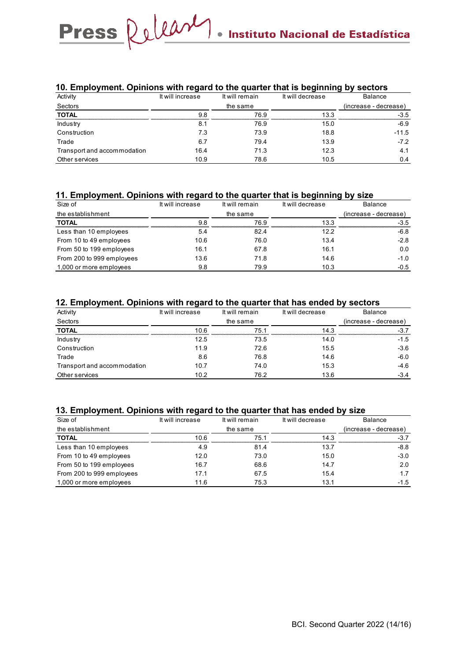### **10. Employment. Opinions with regard to the quarter that is beginning by sectors**

| Activity                    | It will increase | It will remain | It will decrease | Balance               |
|-----------------------------|------------------|----------------|------------------|-----------------------|
| Sectors                     |                  | the same       |                  | (increase - decrease) |
| <b>TOTAL</b>                | 9.8              | 76.9           | 13.3             | $-3.5$                |
| Industry                    | 8.1              | 76.9           | 15.0             | $-6.9$                |
| Construction                | 7.3              | 73.9           | 18.8             | $-11.5$               |
| Trade                       | 6.7              | 79.4           | 13.9             | $-72$                 |
| Transport and accommodation | 16.4             | 71.3           | 12.3             | 4.1                   |
| Other services              | 10.9             | 78.6           | 10.5             | 0.4                   |

### **11. Employment. Opinions with regard to the quarter that is beginning by size**

| Size of                   | It will increase | It will remain | It will decrease | <b>Balance</b>        |
|---------------------------|------------------|----------------|------------------|-----------------------|
| the establishment         |                  | the same       |                  | (increase - decrease) |
| <b>TOTAL</b>              | 98               | 76.9           | 13.3             | $-3.5$                |
| Less than 10 employees    | 5.4              | 82.4           | 12.2             | $-6.8$                |
| From 10 to 49 employees   | 10.6             | 76.0           | 13.4             | $-2.8$                |
| From 50 to 199 employees  | 16.1             | 67.8           | 16.1             | 0.0                   |
| From 200 to 999 employees | 13.6             | 71.8           | 14.6             | $-1.0$                |
| 1,000 or more employees   | 9.8              | 79.9           | 10.3             | $-0.5$                |

### **12. Employment. Opinions with regard to the quarter that has ended by sectors**

| . .<br>Activity             | It will increase | It will remain | It will decrease | <b>Balance</b>        |
|-----------------------------|------------------|----------------|------------------|-----------------------|
| Sectors                     |                  | the same       |                  | (increase - decrease) |
| <b>TOTAL</b>                | 10.6             | 75.1           | 14.3             | $-3.7$                |
| Industry                    | 12.5             | 73.5           | 14.0             | $-1.5$                |
| Construction                | 11.9             | 72.6           | 15.5             | $-3.6$                |
| Trade                       | 8.6              | 76.8           | 14.6             | $-6.0$                |
| Transport and accommodation | 10.7             | 74.0           | 15.3             | $-4.6$                |
| Other services              | 10.2             | 76.2           | 13.6             | $-3.4$                |

### **13. Employment. Opinions with regard to the quarter that has ended by size**

| Size of                   | It will increase | It will remain | It will decrease | Balance               |
|---------------------------|------------------|----------------|------------------|-----------------------|
| the establishment         |                  | the same       |                  | (increase - decrease) |
| <b>TOTAL</b>              | 10 6             | 75 1           | 14.3             | $-3.7$                |
| Less than 10 employees    | 4.9              | 81.4           | 13.7             | $-8.8$                |
| From 10 to 49 employees   | 12.0             | 73.0           | 15.0             | $-3.0$                |
| From 50 to 199 employees  | 16.7             | 68.6           | 14.7             | 2.0                   |
| From 200 to 999 employees | 17.1             | 67.5           | 15.4             | 1.7                   |
| 1,000 or more employees   | 11.6             | 75.3           | 13.1             | $-1.5$                |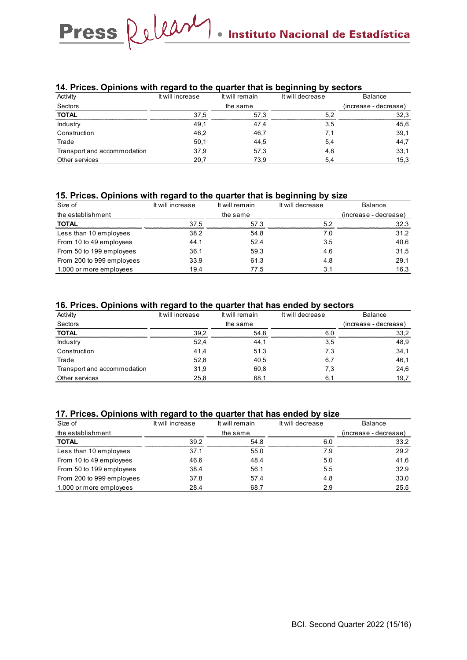### **14. Prices. Opinions with regard to the quarter that is beginning by sectors**

| Activity                    | It will increase | It will remain | It will decrease | <b>Balance</b>        |
|-----------------------------|------------------|----------------|------------------|-----------------------|
| Sectors                     |                  | the same       |                  | (increase - decrease) |
| <b>TOTAL</b>                | 37.5             | 57.3           | 52               | 32.3                  |
| Industry                    | 49,1             | 47,4           | 3,5              | 45,6                  |
| Construction                | 46.2             | 46,7           |                  | 39,1                  |
| Trade                       | 50,1             | 44,5           | 5,4              | 44,7                  |
| Transport and accommodation | 37,9             | 57,3           | 4,8              | 33,1                  |
| Other services              | 20,7             | 73,9           | 5,4              | 15,3                  |

#### **15. Prices. Opinions with regard to the quarter that is beginning by size**

| Size of                   | It will increase | It will remain | It will decrease | Balance               |
|---------------------------|------------------|----------------|------------------|-----------------------|
| the establishment         |                  | the same       |                  | (increase - decrease) |
| <b>TOTAL</b>              | 37.5             | 57.3           | 52               | 32.3                  |
| Less than 10 employees    | 38.2             | 54.8           | 7.0              | 31.2                  |
| From 10 to 49 employees   | 44.1             | 52.4           | 3.5              | 40.6                  |
| From 50 to 199 employees  | 36.1             | 59.3           | 4.6              | 31.5                  |
| From 200 to 999 employees | 33.9             | 61.3           | 4.8              | 29.1                  |
| 1,000 or more employees   | 19.4             | 77.5           | 3.1              | 16.3                  |

### **16. Prices. Opinions with regard to the quarter that has ended by sectors**

| Activity                    | It will increase | It will remain | It will decrease | Balance               |
|-----------------------------|------------------|----------------|------------------|-----------------------|
| Sectors                     |                  | the same       |                  | (increase - decrease) |
| <b>TOTAL</b>                | 39.2             | 54.8           | 6.0              | 33,2                  |
| Industry                    | 52,4             | 44,1           | 3,5              | 48,9                  |
| Construction                | 41,4             | 51,3           | 7,3              | 34,1                  |
| Trade                       | 52,8             | 40,5           | 6,7              | 46,1                  |
| Transport and accommodation | 31,9             | 60,8           | 7,3              | 24,6                  |
| Other services              | 25.8             | 68.1           | 6.1              | 19,7                  |

#### **17. Prices. Opinions with regard to the quarter that has ended by size**

| Size of                   | It will increase | It will remain | It will decrease | <b>Balance</b>        |
|---------------------------|------------------|----------------|------------------|-----------------------|
| the establishment         |                  | the same       |                  | (increase - decrease) |
| <b>TOTAL</b>              | 39.2             | 54.8           | 6.0              | 33.2                  |
| Less than 10 employees    | 37.1             | 55.0           | 7.9              | 29.2                  |
| From 10 to 49 employees   | 46.6             | 48.4           | 5.0              | 41.6                  |
| From 50 to 199 employees  | 38.4             | 56.1           | 5.5              | 32.9                  |
| From 200 to 999 employees | 37.8             | 57.4           | 4.8              | 33.0                  |
| 1,000 or more employees   | 28.4             | 68.7           | 2.9              | 25.5                  |